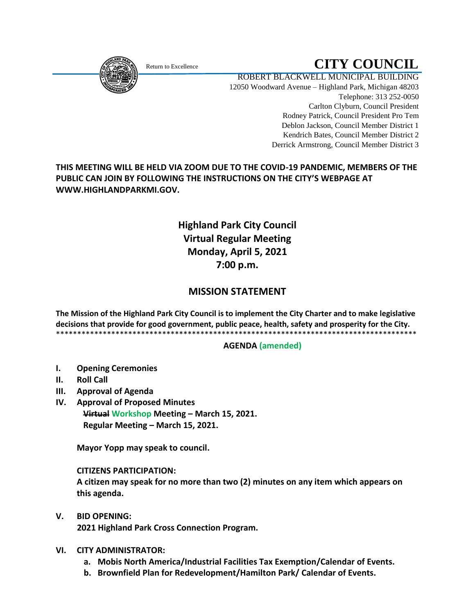<span id="page-0-0"></span>

# Return to Excellence **CITY COUNCIL**

ROBERT BLACKWELL MUNICIPAL BUILDING 12050 Woodward Avenue – Highland Park, Michigan 48203 Telephone: 313 252-0050 Carlton Clyburn, Council President Rodney Patrick, Council President Pro Tem Deblon Jackson, Council Member District 1 Kendrich Bates, Council Member District 2 Derrick Armstrong, Council Member District 3

**THIS MEETING WILL BE HELD VIA ZOOM DUE TO THE COVID-19 PANDEMIC, MEMBERS OF THE PUBLIC CAN JOIN BY FOLLOWING THE INSTRUCTIONS ON THE CITY'S WEBPAGE AT WWW.HIGHLANDPARKMI.GOV.**

# **Highland Park City Council Virtual Regular Meeting Monday, April 5, 2021 7:00 p.m.**

# **MISSION STATEMENT**

**The Mission of the Highland Park City Council is to implement the City Charter and to make legislative decisions that provide for good government, public peace, health, safety and prosperity for the City.** \*\*\*\*\*\*\*\*\*\*\*\*\*\*\*\*\*\*\*\*\*\*\*\*\*\*\*\*\*\*\*\*\*\*\*\*\*\*\*\*\*\*\*\*\*\*\*\*\*\*\*\*\*\*\*\*\*\*\*\*\*\*\*\*\*\*\*\*\*\*\*\*\*\*\*\*\*\*\*\*\*\*\*\*\*

## **AGENDA (amended)**

- **I. Opening Ceremonies**
- **II. Roll Call**
- **III. Approval of Agenda**
- **IV. Approval of Proposed Minutes Virtual Workshop Meeting – March 15, 2021.**

 **Regular Meeting – March 15, 2021.**

 **Mayor Yopp may speak to council.** 

## **CITIZENS PARTICIPATION:**

 **A citizen may speak for no more than two (2) minutes on any item which appears on this agenda.**

**V. BID OPENING:**

 **2021 Highland Park Cross Connection Program.**

## **VI. CITY ADMINISTRATOR:**

- **a. Mobis North America/Industrial Facilities Tax Exemption/Calendar of Events.**
- **b. Brownfield Plan for Redevelopment/Hamilton Park/ Calendar of Events.**